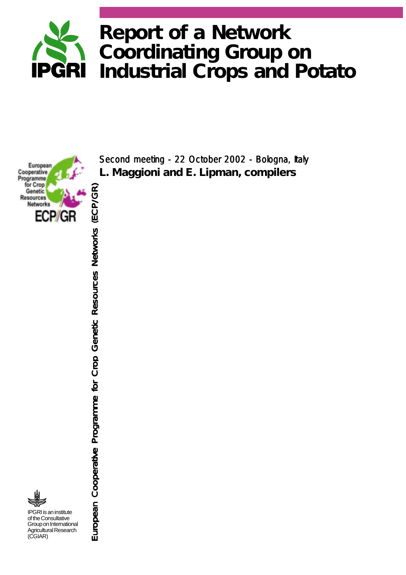

**European** Cooperative **Programme** for Crop European Cooperative Programme for Crop Genetic Resources Networks (ECP/GR) European Cooperative for Networks (ECP/GR) European Programme Resources European Cooperative Programme for Crop Genetic Resources Networks (ECP/GR) Genetic **Resources Networks** ECP/GR IPGRI is an institute of the Consultative Group on International Agricultural Research (CGIAR)

**L. Maggioni and E. Lipman,** *compilers* Second meeting - 22 October 2002 - Bologna, Italy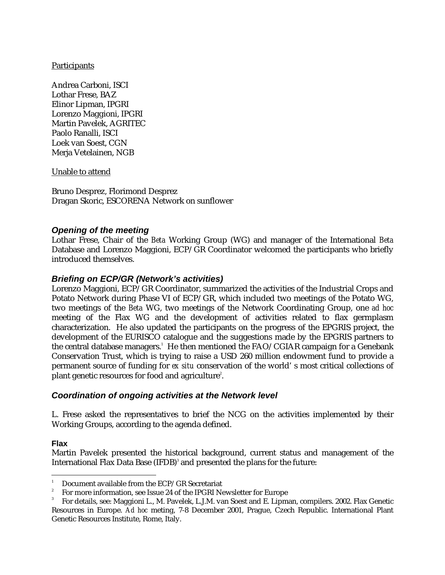## **Participants**

Andrea Carboni, ISCI Lothar Frese, BAZ Elinor Lipman, IPGRI Lorenzo Maggioni, IPGRI Martin Pavelek, AGRITEC Paolo Ranalli, ISCI Loek van Soest, CGN Merja Vetelainen, NGB

Unable to attend

Bruno Desprez, Florimond Desprez Dragan Skoric, ESCORENA Network on sunflower

# *Opening of the meeting*

Lothar Frese, Chair of the *Beta* Working Group (WG) and manager of the International *Beta* Database and Lorenzo Maggioni, ECP/GR Coordinator welcomed the participants who briefly introduced themselves.

# *Briefing on ECP/GR (Network's activities)*

Lorenzo Maggioni, ECP/GR Coordinator, summarized the activities of the Industrial Crops and Potato Network during Phase VI of ECP/GR, which included two meetings of the Potato WG, two meetings of the *Beta* WG, two meetings of the Network Coordinating Group, one *ad hoc* meeting of the Flax WG and the development of activities related to flax germplasm characterization. He also updated the participants on the progress of the EPGRIS project, the development of the EURISCO catalogue and the suggestions made by the EPGRIS partners to the central database managers.'He then mentioned the FAO/CGIAR campaign for a Genebank  $\,$ Conservation Trust, which is trying to raise a USD 260 million endowment fund to provide a permanent source of funding for *ex situ* conservation of the world' s most critical collections of plant genetic resources for food and agriculture $^2$ .

# *Coordination of ongoing activities at the Network level*

L. Frese asked the representatives to brief the NCG on the activities implemented by their Working Groups, according to the agenda defined.

# **Flax**

j

Martin Pavelek presented the historical background, current status and management of the International Flax Data Base (IFDB) $^{\circ}$  and presented the plans for the future:

<sup>1</sup> Document available from the ECP/GR Secretariat

<sup>2</sup> For more information, see Issue 24 of the IPGRI Newsletter for Europe

<sup>3</sup> For details, see: Maggioni L., M. Pavelek, L.J.M. van Soest and E. Lipman, compilers. 2002. Flax Genetic Resources in Europe. *Ad hoc* meting, 7-8 December 2001, Prague, Czech Republic. International Plant Genetic Resources Institute, Rome, Italy.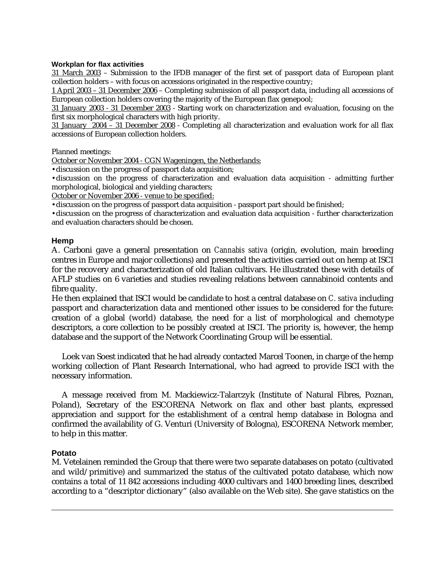#### **Workplan for flax activities**

31 March 2003 – Submission to the IFDB manager of the first set of passport data of European plant collection holders – with focus on accessions originated in the respective country;

1 April 2003 – 31 December 2006 – Completing submission of all passport data, including all accessions of European collection holders covering the majority of the European flax genepool;

31 January 2003 - 31 December 2003 - Starting work on characterization and evaluation, focusing on the first six morphological characters with high priority.

31 January 2004 – 31 December 2008 - Completing all characterization and evaluation work for all flax accessions of European collection holders.

Planned meetings:

October or November 2004 - CGN Wageningen, the Netherlands:

•discussion on the progress of passport data acquisition;

•discussion on the progress of characterization and evaluation data acquisition - admitting further morphological, biological and yielding characters;

October or November 2006 - venue to be specified:

•discussion on the progress of passport data acquisition - passport part should be finished;

•discussion on the progress of characterization and evaluation data acquisition - further characterization and evaluation characters should be chosen.

#### **Hemp**

A. Carboni gave a general presentation on *Cannabis sativa* (origin, evolution, main breeding centres in Europe and major collections) and presented the activities carried out on hemp at ISCI for the recovery and characterization of old Italian cultivars. He illustrated these with details of AFLP studies on 6 varieties and studies revealing relations between cannabinoid contents and fibre quality.

He then explained that ISCI would be candidate to host a central database on *C. sativa* including passport and characterization data and mentioned other issues to be considered for the future: creation of a global (world) database, the need for a list of morphological and chemotype descriptors, a core collection to be possibly created at ISCI. The priority is, however, the hemp database and the support of the Network Coordinating Group will be essential.

 Loek van Soest indicated that he had already contacted Marcel Toonen, in charge of the hemp working collection of Plant Research International, who had agreed to provide ISCI with the necessary information.

 A message received from M. Mackiewicz-Talarczyk (Institute of Natural Fibres, Poznan, Poland), Secretary of the ESCORENA Network on flax and other bast plants, expressed appreciation and support for the establishment of a central hemp database in Bologna and confirmed the availability of G. Venturi (University of Bologna), ESCORENA Network member, to help in this matter.

### **Potato**

j

M. Vetelainen reminded the Group that there were two separate databases on potato (cultivated and wild/primitive) and summarized the status of the cultivated potato database, which now contains a total of 11 842 accessions including 4000 cultivars and 1400 breeding lines, described according to a "descriptor dictionary" (also available on the Web site). She gave statistics on the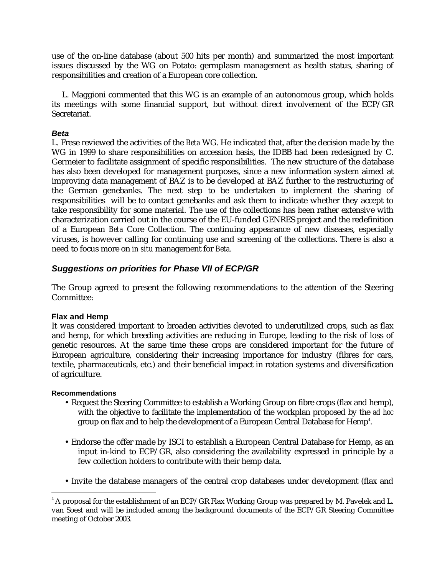use of the on-line database (about 500 hits per month) and summarized the most important issues discussed by the WG on Potato: germplasm management as health status, sharing of responsibilities and creation of a European core collection.

 L. Maggioni commented that this WG is an example of an autonomous group, which holds its meetings with some financial support, but without direct involvement of the ECP/GR Secretariat.

### *Beta*

L. Frese reviewed the activities of the *Beta* WG. He indicated that, after the decision made by the WG in 1999 to share responsibilities on accession basis, the IDBB had been redesigned by C. Germeier to facilitate assignment of specific responsibilities. The new structure of the database has also been developed for management purposes, since a new information system aimed at improving data management of BAZ is to be developed at BAZ further to the restructuring of the German genebanks. The next step to be undertaken to implement the sharing of responsibilities will be to contact genebanks and ask them to indicate whether they accept to take responsibility for some material. The use of the collections has been rather extensive with characterization carried out in the course of the EU-funded GENRES project and the redefinition of a European *Beta* Core Collection. The continuing appearance of new diseases, especially viruses, is however calling for continuing use and screening of the collections. There is also a need to focus more on *in situ* management for *Beta*.

# *Suggestions on priorities for Phase VII of ECP/GR*

The Group agreed to present the following recommendations to the attention of the Steering Committee:

# **Flax and Hemp**

It was considered important to broaden activities devoted to underutilized crops, such as flax and hemp, for which breeding activities are reducing in Europe, leading to the risk of loss of genetic resources. At the same time these crops are considered important for the future of European agriculture, considering their increasing importance for industry (fibres for cars, textile, pharmaceuticals, etc.) and their beneficial impact in rotation systems and diversification of agriculture.

### **Recommendations**

- Request the Steering Committee to establish a Working Group on fibre crops (flax and hemp), with the objective to facilitate the implementation of the workplan proposed by the *ad hoc* group on flax and to help the development of a European Central Database for Hemp $^{\rm 4}.$
- Endorse the offer made by ISCI to establish a European Central Database for Hemp, as an input in-kind to ECP/GR, also considering the availability expressed in principle by a few collection holders to contribute with their hemp data.
- Invite the database managers of the central crop databases under development (flax and

 4 A proposal for the establishment of an ECP/GR Flax Working Group was prepared by M. Pavelek and L. van Soest and will be included among the background documents of the ECP/GR Steering Committee meeting of October 2003.